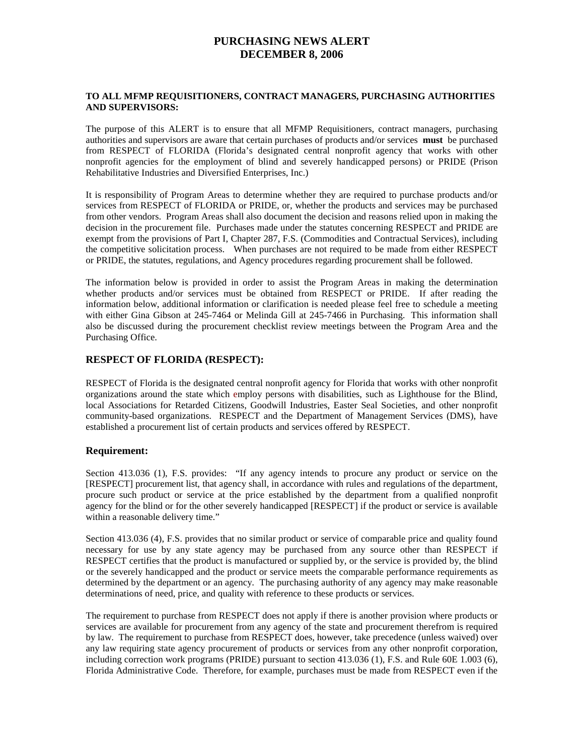# **PURCHASING NEWS ALERT DECEMBER 8, 2006**

#### **TO ALL MFMP REQUISITIONERS, CONTRACT MANAGERS, PURCHASING AUTHORITIES AND SUPERVISORS:**

The purpose of this ALERT is to ensure that all MFMP Requisitioners, contract managers, purchasing authorities and supervisors are aware that certain purchases of products and/or services **must** be purchased from RESPECT of FLORIDA (Florida's designated central nonprofit agency that works with other nonprofit agencies for the employment of blind and severely handicapped persons) or PRIDE (Prison Rehabilitative Industries and Diversified Enterprises, Inc.)

It is responsibility of Program Areas to determine whether they are required to purchase products and/or services from RESPECT of FLORIDA or PRIDE, or, whether the products and services may be purchased from other vendors. Program Areas shall also document the decision and reasons relied upon in making the decision in the procurement file. Purchases made under the statutes concerning RESPECT and PRIDE are exempt from the provisions of Part I, Chapter 287, F.S. (Commodities and Contractual Services), including the competitive solicitation process. When purchases are not required to be made from either RESPECT or PRIDE, the statutes, regulations, and Agency procedures regarding procurement shall be followed.

The information below is provided in order to assist the Program Areas in making the determination whether products and/or services must be obtained from RESPECT or PRIDE. If after reading the information below, additional information or clarification is needed please feel free to schedule a meeting with either Gina Gibson at 245-7464 or Melinda Gill at 245-7466 in Purchasing. This information shall also be discussed during the procurement checklist review meetings between the Program Area and the Purchasing Office.

# **RESPECT OF FLORIDA (RESPECT):**

RESPECT of Florida is the designated central nonprofit agency for Florida that works with other nonprofit organizations around the state which employ persons with disabilities, such as Lighthouse for the Blind, local Associations for Retarded Citizens, Goodwill Industries, Easter Seal Societies, and other nonprofit community-based organizations. RESPECT and the Department of Management Services (DMS), have established a procurement list of certain products and services offered by RESPECT.

#### **Requirement:**

Section 413.036 (1), F.S. provides: "If any agency intends to procure any product or service on the [RESPECT] procurement list, that agency shall, in accordance with rules and regulations of the department, procure such product or service at the price established by the department from a qualified nonprofit agency for the blind or for the other severely handicapped [RESPECT] if the product or service is available within a reasonable delivery time."

Section 413.036 (4), F.S. provides that no similar product or service of comparable price and quality found necessary for use by any state agency may be purchased from any source other than RESPECT if RESPECT certifies that the product is manufactured or supplied by, or the service is provided by, the blind or the severely handicapped and the product or service meets the comparable performance requirements as determined by the department or an agency. The purchasing authority of any agency may make reasonable determinations of need, price, and quality with reference to these products or services.

The requirement to purchase from RESPECT does not apply if there is another provision where products or services are available for procurement from any agency of the state and procurement therefrom is required by law. The requirement to purchase from RESPECT does, however, take precedence (unless waived) over any law requiring state agency procurement of products or services from any other nonprofit corporation, including correction work programs (PRIDE) pursuant to section 413.036 (1), F.S. and Rule 60E 1.003 (6), Florida Administrative Code. Therefore, for example, purchases must be made from RESPECT even if the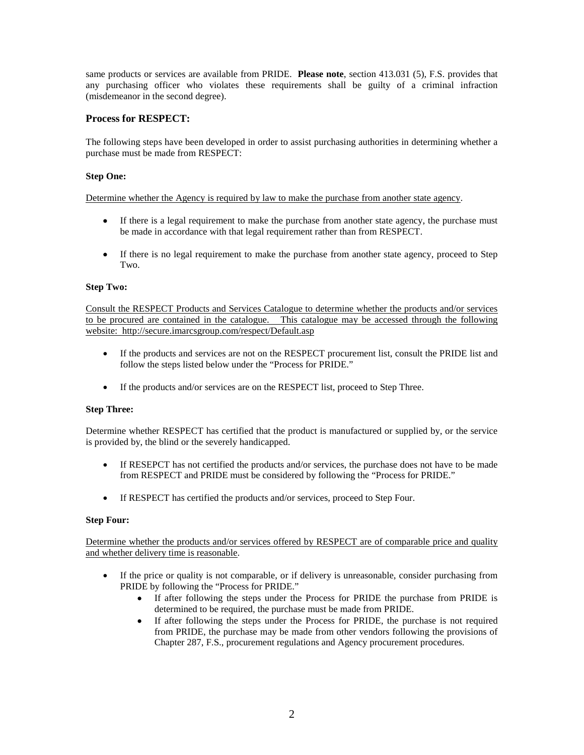same products or services are available from PRIDE. **Please note**, section 413.031 (5), F.S. provides that any purchasing officer who violates these requirements shall be guilty of a criminal infraction (misdemeanor in the second degree).

# **Process for RESPECT:**

The following steps have been developed in order to assist purchasing authorities in determining whether a purchase must be made from RESPECT:

### **Step One:**

Determine whether the Agency is required by law to make the purchase from another state agency.

- If there is a legal requirement to make the purchase from another state agency, the purchase must be made in accordance with that legal requirement rather than from RESPECT.
- If there is no legal requirement to make the purchase from another state agency, proceed to Step Two.

#### **Step Two:**

Consult the RESPECT Products and Services Catalogue to determine whether the products and/or services to be procured are contained in the catalogue. This catalogue may be accessed through the following website: http://secure.imarcsgroup.com/respect/Default.asp

- If the products and services are not on the RESPECT procurement list, consult the PRIDE list and follow the steps listed below under the "Process for PRIDE."
- If the products and/or services are on the RESPECT list, proceed to Step Three.

#### **Step Three:**

Determine whether RESPECT has certified that the product is manufactured or supplied by, or the service is provided by, the blind or the severely handicapped.

- If RESEPCT has not certified the products and/or services, the purchase does not have to be made from RESPECT and PRIDE must be considered by following the "Process for PRIDE."
- If RESPECT has certified the products and/or services, proceed to Step Four.

#### **Step Four:**

Determine whether the products and/or services offered by RESPECT are of comparable price and quality and whether delivery time is reasonable.

- If the price or quality is not comparable, or if delivery is unreasonable, consider purchasing from PRIDE by following the "Process for PRIDE."
	- If after following the steps under the Process for PRIDE the purchase from PRIDE is determined to be required, the purchase must be made from PRIDE.
	- If after following the steps under the Process for PRIDE, the purchase is not required from PRIDE, the purchase may be made from other vendors following the provisions of Chapter 287, F.S., procurement regulations and Agency procurement procedures.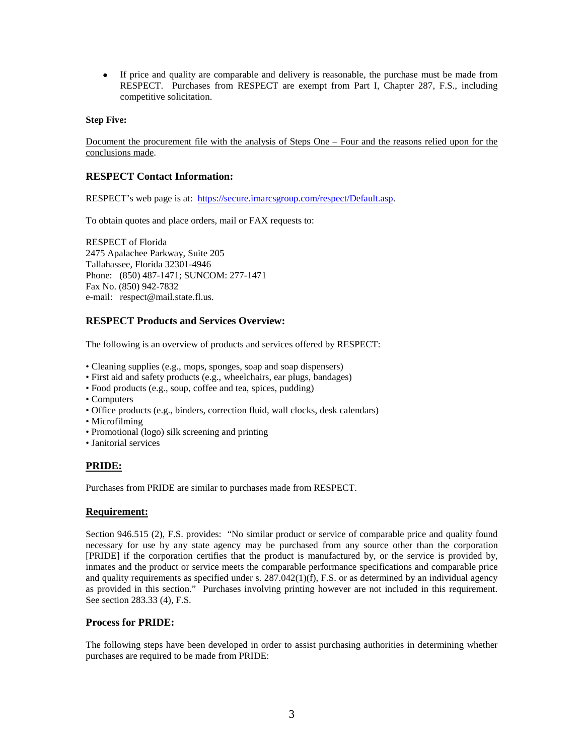• If price and quality are comparable and delivery is reasonable, the purchase must be made from RESPECT. Purchases from RESPECT are exempt from Part I, Chapter 287, F.S., including competitive solicitation.

#### **Step Five:**

Document the procurement file with the analysis of Steps One – Four and the reasons relied upon for the conclusions made.

#### **RESPECT Contact Information:**

RESPECT's web page is at: [https://secure.imarcsgroup.com/respect/Default.asp.](https://secure.imarcsgroup.com/respect/Default.asp)

To obtain quotes and place orders, mail or FAX requests to:

RESPECT of Florida 2475 Apalachee Parkway, Suite 205 Tallahassee, Florida 32301-4946 Phone: (850) 487-1471; SUNCOM: 277-1471 Fax No. (850) 942-7832 e-mail: respect@mail.state.fl.us.

#### **RESPECT Products and Services Overview:**

The following is an overview of products and services offered by RESPECT:

- Cleaning supplies (e.g., mops, sponges, soap and soap dispensers)
- First aid and safety products (e.g., wheelchairs, ear plugs, bandages)
- Food products (e.g., soup, coffee and tea, spices, pudding)
- Computers
- Office products (e.g., binders, correction fluid, wall clocks, desk calendars)
- Microfilming
- Promotional (logo) silk screening and printing
- Janitorial services

#### **PRIDE:**

Purchases from PRIDE are similar to purchases made from RESPECT.

#### **Requirement:**

Section 946.515 (2), F.S. provides: "No similar product or service of comparable price and quality found necessary for use by any state agency may be purchased from any source other than the corporation [PRIDE] if the corporation certifies that the product is manufactured by, or the service is provided by, inmates and the product or service meets the comparable performance specifications and comparable price and quality requirements as specified under s. 287.042(1)(f), F.S. or as determined by an individual agency as provided in this section." Purchases involving printing however are not included in this requirement. See section 283.33 (4), F.S.

#### **Process for PRIDE:**

The following steps have been developed in order to assist purchasing authorities in determining whether purchases are required to be made from PRIDE: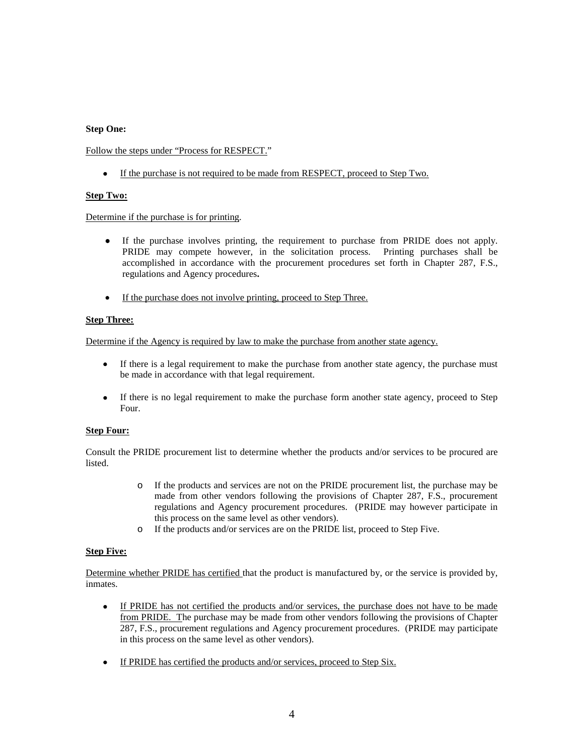#### **Step One:**

Follow the steps under "Process for RESPECT."

• If the purchase is not required to be made from RESPECT, proceed to Step Two.

#### **Step Two:**

Determine if the purchase is for printing.

- If the purchase involves printing, the requirement to purchase from PRIDE does not apply. PRIDE may compete however, in the solicitation process. Printing purchases shall be accomplished in accordance with the procurement procedures set forth in Chapter 287, F.S., regulations and Agency procedures**.**
- If the purchase does not involve printing, proceed to Step Three.

#### **Step Three:**

Determine if the Agency is required by law to make the purchase from another state agency.

- If there is a legal requirement to make the purchase from another state agency, the purchase must be made in accordance with that legal requirement.
- If there is no legal requirement to make the purchase form another state agency, proceed to Step Four.

# **Step Four:**

Consult the PRIDE procurement list to determine whether the products and/or services to be procured are listed.

- o If the products and services are not on the PRIDE procurement list, the purchase may be made from other vendors following the provisions of Chapter 287, F.S., procurement regulations and Agency procurement procedures. (PRIDE may however participate in this process on the same level as other vendors).
- o If the products and/or services are on the PRIDE list, proceed to Step Five.

#### **Step Five:**

Determine whether PRIDE has certified that the product is manufactured by, or the service is provided by, inmates.

- If PRIDE has not certified the products and/or services, the purchase does not have to be made from PRIDE. The purchase may be made from other vendors following the provisions of Chapter 287, F.S., procurement regulations and Agency procurement procedures. (PRIDE may participate in this process on the same level as other vendors).
- If PRIDE has certified the products and/or services, proceed to Step Six.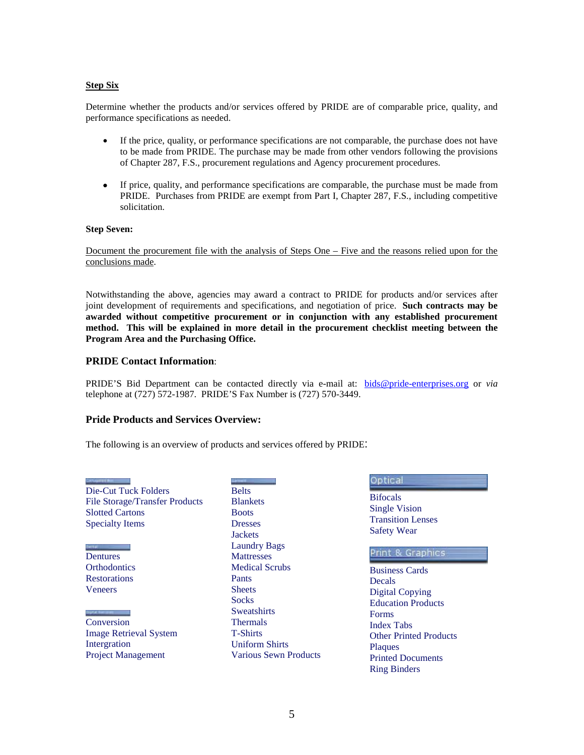#### **Step Six**

Determine whether the products and/or services offered by PRIDE are of comparable price, quality, and performance specifications as needed.

- If the price, quality, or performance specifications are not comparable, the purchase does not have to be made from PRIDE. The purchase may be made from other vendors following the provisions of Chapter 287, F.S., procurement regulations and Agency procurement procedures.
- If price, quality, and performance specifications are comparable, the purchase must be made from PRIDE. Purchases from PRIDE are exempt from Part I, Chapter 287, F.S., including competitive solicitation.

#### **Step Seven:**

Document the procurement file with the analysis of Steps One – Five and the reasons relied upon for the conclusions made.

Notwithstanding the above, agencies may award a contract to PRIDE for products and/or services after joint development of requirements and specifications, and negotiation of price. **Such contracts may be awarded without competitive procurement or in conjunction with any established procurement method. This will be explained in more detail in the procurement checklist meeting between the Program Area and the Purchasing Office.**

#### **PRIDE Contact Information**:

PRIDE'S Bid Department can be contacted directly via e-mail at: [bids@pride-enterprises.org](mailto:bids@pride-enterprises.org) or *via* telephone at (727) 572-1987. PRIDE'S Fax Number is (727) 570-3449.

#### **Pride Products and Services Overview:**

The following is an overview of products and services offered by PRIDE:

| Die-Cut Tuck Folders                  |
|---------------------------------------|
| <b>File Storage/Transfer Products</b> |
| <b>Slotted Cartons</b>                |
| <b>Specialty Items</b>                |

**Dentures Orthodontics Restorations** Veneers

Conversion Image Retrieval System Intergration Project Management

Belts **Blankets Boots** Dresses **Jackets** Laundry Bags **Mattresses** Medical Scrubs Pants **Sheets Socks Sweatshirts** Thermals T-Shirts Uniform Shirts Various Sewn Products

## Optical

**Bifocals** Single Vision Transition Lenses Safety Wear

#### Print & Graphics

Business Cards Decals Digital Copying Education Products Forms Index Tabs Other Printed Products **Plaques** Printed Documents Ring Binders